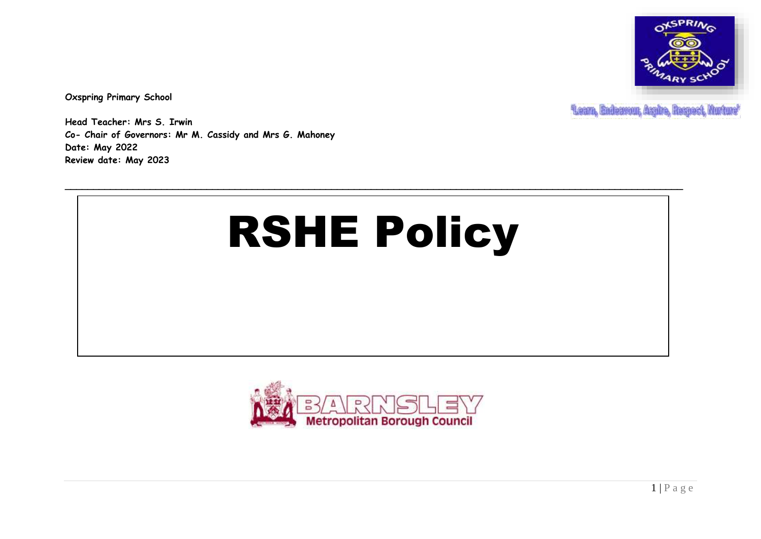

**Oxspring Primary School**

**Leam, Endeavour, Aspire, Respect, Hurture'** 

**Head Teacher: Mrs S. Irwin Co- Chair of Governors: Mr M. Cassidy and Mrs G. Mahoney Date: May 2022 Review date: May 2023**

# RSHE Policy

**\_\_\_\_\_\_\_\_\_\_\_\_\_\_\_\_\_\_\_\_\_\_\_\_\_\_\_\_\_\_\_\_\_\_\_\_\_\_\_\_\_\_\_\_\_\_\_\_\_\_\_\_\_\_\_\_\_\_\_\_\_\_\_\_\_\_\_\_\_\_\_\_\_\_\_\_\_\_\_\_\_\_\_\_\_\_\_\_\_\_\_\_\_\_\_\_\_\_\_\_\_\_\_\_\_\_\_\_\_**

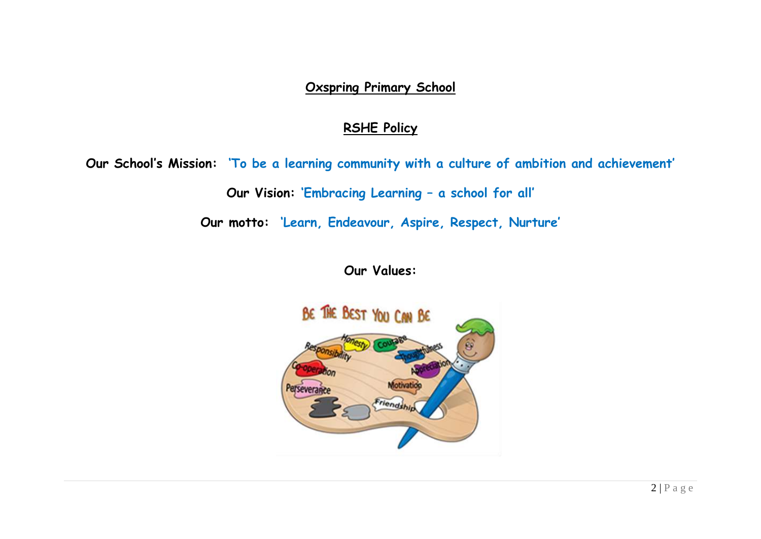### **Oxspring Primary School**

## **RSHE Policy**

**Our School's Mission: 'To be a learning community with a culture of ambition and achievement'**

**Our Vision: 'Embracing Learning – a school for all'**

**Our motto: 'Learn, Endeavour, Aspire, Respect, Nurture'**

**Our Values:**

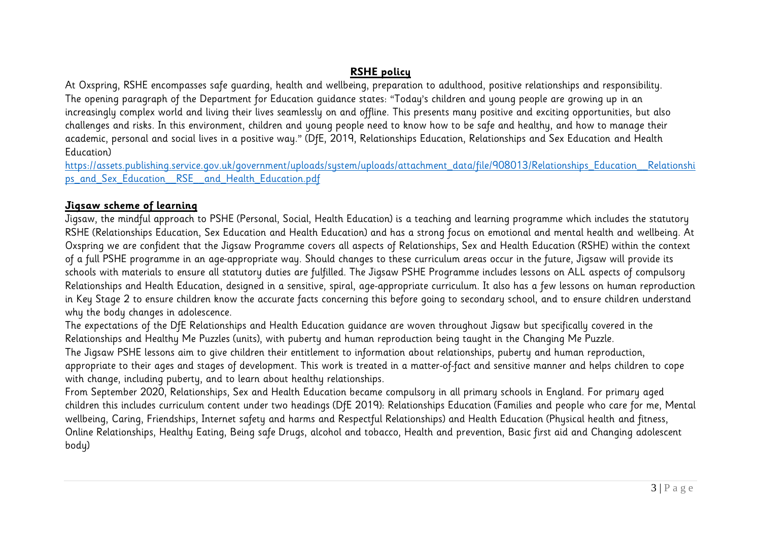#### **RSHE policy**

At Oxspring, RSHE encompasses safe guarding, health and wellbeing, preparation to adulthood, positive relationships and responsibility. The opening paragraph of the Department for Education guidance states: "Today's children and young people are growing up in an increasingly complex world and living their lives seamlessly on and offline. This presents many positive and exciting opportunities, but also challenges and risks. In this environment, children and young people need to know how to be safe and healthy, and how to manage their academic, personal and social lives in a positive way." (DfE, 2019, Relationships Education, Relationships and Sex Education and Health Education)

[https://assets.publishing.service.gov.uk/government/uploads/system/uploads/attachment\\_data/file/908013/Relationships\\_Education\\_\\_Relationshi](https://assets.publishing.service.gov.uk/government/uploads/system/uploads/attachment_data/file/908013/Relationships_Education__Relationships_and_Sex_Education__RSE__and_Health_Education.pdf) [ps\\_and\\_Sex\\_Education\\_\\_RSE\\_\\_and\\_Health\\_Education.pdf](https://assets.publishing.service.gov.uk/government/uploads/system/uploads/attachment_data/file/908013/Relationships_Education__Relationships_and_Sex_Education__RSE__and_Health_Education.pdf)

#### **Jigsaw scheme of learning**

Jigsaw, the mindful approach to PSHE (Personal, Social, Health Education) is a teaching and learning programme which includes the statutory RSHE (Relationships Education, Sex Education and Health Education) and has a strong focus on emotional and mental health and wellbeing. At Oxspring we are confident that the Jigsaw Programme covers all aspects of Relationships, Sex and Health Education (RSHE) within the context of a full PSHE programme in an age-appropriate way. Should changes to these curriculum areas occur in the future, Jigsaw will provide its schools with materials to ensure all statutory duties are fulfilled. The Jigsaw PSHE Programme includes lessons on ALL aspects of compulsory Relationships and Health Education, designed in a sensitive, spiral, age-appropriate curriculum. It also has a few lessons on human reproduction in Key Stage 2 to ensure children know the accurate facts concerning this before going to secondary school, and to ensure children understand why the body changes in adolescence.

The expectations of the DfE Relationships and Health Education guidance are woven throughout Jigsaw but specifically covered in the Relationships and Healthy Me Puzzles (units), with puberty and human reproduction being taught in the Changing Me Puzzle.

The Jigsaw PSHE lessons aim to give children their entitlement to information about relationships, puberty and human reproduction, appropriate to their ages and stages of development. This work is treated in a matter-of-fact and sensitive manner and helps children to cope with change, including puberty, and to learn about healthy relationships.

From September 2020, Relationships, Sex and Health Education became compulsory in all primary schools in England. For primary aged children this includes curriculum content under two headings (DfE 2019): Relationships Education (Families and people who care for me, Mental wellbeing, Caring, Friendships, Internet safety and harms and Respectful Relationships) and Health Education (Physical health and fitness, Online Relationships, Healthy Eating, Being safe Drugs, alcohol and tobacco, Health and prevention, Basic first aid and Changing adolescent body)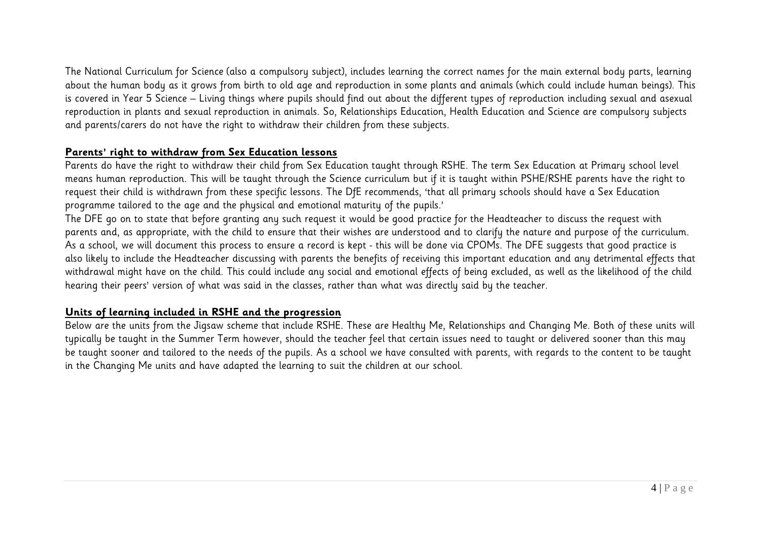The National Curriculum for Science (also a compulsory subject), includes learning the correct names for the main external body parts, learning about the human body as it grows from birth to old age and reproduction in some plants and animals (which could include human beings). This is covered in Year 5 Science – Living things where pupils should find out about the different types of reproduction including sexual and asexual reproduction in plants and sexual reproduction in animals. So, Relationships Education, Health Education and Science are compulsory subjects and parents/carers do not have the right to withdraw their children from these subjects.

#### **Parents' right to withdraw from Sex Education lessons**

Parents do have the right to withdraw their child from Sex Education taught through RSHE. The term Sex Education at Primary school level means human reproduction. This will be taught through the Science curriculum but if it is taught within PSHE/RSHE parents have the right to request their child is withdrawn from these specific lessons. The DfE recommends, 'that all primary schools should have a Sex Education programme tailored to the age and the physical and emotional maturity of the pupils.'

The DFE go on to state that before granting any such request it would be good practice for the Headteacher to discuss the request with parents and, as appropriate, with the child to ensure that their wishes are understood and to clarify the nature and purpose of the curriculum. As a school, we will document this process to ensure a record is kept - this will be done via CPOMs. The DFE suggests that good practice is also likely to include the Headteacher discussing with parents the benefits of receiving this important education and any detrimental effects that withdrawal might have on the child. This could include any social and emotional effects of being excluded, as well as the likelihood of the child hearing their peers' version of what was said in the classes, rather than what was directly said by the teacher.

#### **Units of learning included in RSHE and the progression**

Below are the units from the Jigsaw scheme that include RSHE. These are Healthy Me, Relationships and Changing Me. Both of these units will typically be taught in the Summer Term however, should the teacher feel that certain issues need to taught or delivered sooner than this may be taught sooner and tailored to the needs of the pupils. As a school we have consulted with parents, with regards to the content to be taught in the Changing Me units and have adapted the learning to suit the children at our school.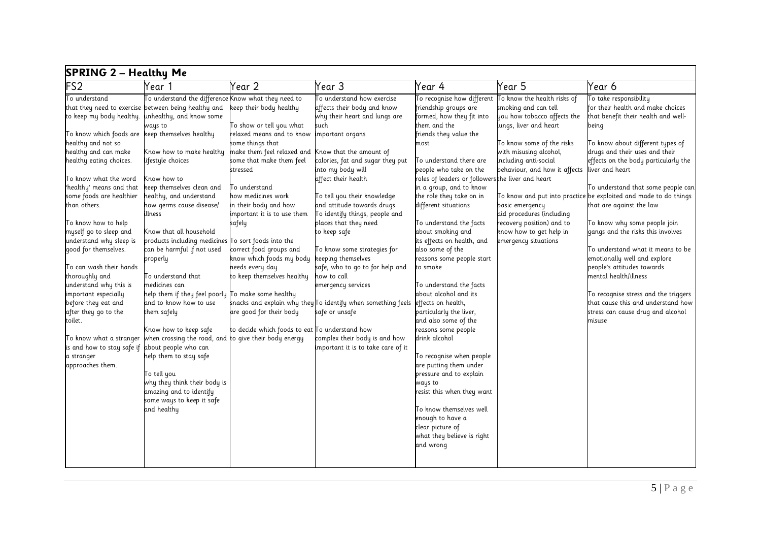| <b>SPRING 2 - Healthy Me</b>                    |                                                       |                                                    |                                                                     |                                                   |                               |                                                                  |  |  |
|-------------------------------------------------|-------------------------------------------------------|----------------------------------------------------|---------------------------------------------------------------------|---------------------------------------------------|-------------------------------|------------------------------------------------------------------|--|--|
| FS <sub>2</sub>                                 | Year 1                                                | Year 2                                             | Year 3                                                              | Year 4                                            | Year 5                        | Year 6                                                           |  |  |
| To understand                                   | To understand the difference Know what they need to   |                                                    | To understand how exercise                                          | To recognise how different                        | To know the health risks of   | To take responsibility                                           |  |  |
|                                                 | that they need to exercise between being healthy and  | keep their body healthy                            | affects their body and know                                         | friendship groups are                             | smoking and can tell          | for their health and make choices                                |  |  |
| to keep my body healthy.                        | unhealthy, and know some                              |                                                    | why their heart and lungs are                                       | formed, how they fit into                         | you how tobacco affects the   | that benefit their health and well-                              |  |  |
|                                                 | ways to                                               | To show or tell you what                           | such                                                                | them and the                                      | lungs, liver and heart        | being                                                            |  |  |
| To know which foods are keep themselves healthy |                                                       | relaxed means and to know                          | important organs                                                    | friends they value the                            |                               |                                                                  |  |  |
| healthy and not so                              |                                                       | some things that                                   |                                                                     | most                                              | To know some of the risks     | To know about different types of                                 |  |  |
| healthy and can make                            | Know how to make healthy                              | make them feel relaxed and Know that the amount of |                                                                     |                                                   | with misusing alcohol,        | drugs and their uses and their                                   |  |  |
| healthy eating choices.                         | lifestyle choices                                     | some that make them feel                           | calories, fat and sugar they put                                    | To understand there are                           | including anti-social         | effects on the body particularly the                             |  |  |
|                                                 |                                                       | stressed                                           | into my body will                                                   | people who take on the                            | behaviour, and how it affects | liver and heart                                                  |  |  |
| To know what the word                           | Know how to                                           |                                                    | affect their health                                                 | roles of leaders or followers the liver and heart |                               |                                                                  |  |  |
| 'healthy' means and that                        | keep themselves clean and                             | To understand                                      |                                                                     | in a group, and to know                           |                               | To understand that some people can                               |  |  |
| some foods are healthier                        | healthy, and understand                               | how medicines work                                 | To tell you their knowledge                                         | the role they take on in                          |                               | To know and put into practice be exploited and made to do things |  |  |
| than others.                                    | how germs cause disease/                              | in their body and how                              | and attitude towards drugs                                          | different situations                              | basic emergency               | that are against the law                                         |  |  |
|                                                 | illness                                               | important it is to use them                        | To identify things, people and                                      |                                                   | aid procedures (including     |                                                                  |  |  |
| To know how to help                             |                                                       | safely                                             | places that they need                                               | To understand the facts                           | recovery position) and to     | To know why some people join                                     |  |  |
| myself go to sleep and                          | Know that all household                               |                                                    | to keep safe                                                        | about smoking and                                 | know how to get help in       | gangs and the risks this involves                                |  |  |
| understand why sleep is                         | products including medicines To sort foods into the   |                                                    |                                                                     | its effects on health, and                        | emergency situations          |                                                                  |  |  |
| good for themselves.                            | can be harmful if not used                            | correct food groups and                            | To know some strategies for                                         | also some of the                                  |                               | To understand what it means to be                                |  |  |
|                                                 | properly                                              | know which foods my body                           | keeping themselves                                                  | reasons some people start                         |                               | emotionally well and explore                                     |  |  |
| To can wash their hands                         |                                                       | needs every day                                    | safe, who to go to for help and                                     | to smoke                                          |                               | people's attitudes towards                                       |  |  |
| thoroughly and                                  | To understand that                                    | to keep themselves healthy                         | how to call                                                         |                                                   |                               | mental health/illness                                            |  |  |
| understand why this is                          | medicines can                                         |                                                    | emergency services                                                  | To understand the facts                           |                               |                                                                  |  |  |
| important especially                            | help them if they feel poorly To make some healthy    |                                                    |                                                                     | about alcohol and its                             |                               | To recognise stress and the triggers                             |  |  |
| before they eat and                             | and to know how to use                                |                                                    | snacks and explain why they $\sf T$ o identify when something feels | effects on health,                                |                               | that cause this and understand how                               |  |  |
| after they go to the                            | them safely                                           | are good for their body                            | safe or unsafe                                                      | particularly the liver,                           |                               | stress can cause drug and alcohol                                |  |  |
| toilet.                                         |                                                       |                                                    |                                                                     | and also some of the                              |                               | misuse                                                           |  |  |
|                                                 | Know how to keep safe                                 | to decide which foods to eat To understand how     |                                                                     | reasons some people                               |                               |                                                                  |  |  |
| To know what a stranger                         | when crossing the road, and to give their body energy |                                                    | complex their body is and how                                       | drink alcohol                                     |                               |                                                                  |  |  |
| is and how to stay safe if                      | about people who can                                  |                                                    | important it is to take care of it                                  |                                                   |                               |                                                                  |  |  |
| a stranger                                      | help them to stay safe                                |                                                    |                                                                     | To recognise when people                          |                               |                                                                  |  |  |
| approaches them.                                |                                                       |                                                    |                                                                     | are putting them under                            |                               |                                                                  |  |  |
|                                                 | To tell you                                           |                                                    |                                                                     | pressure and to explain                           |                               |                                                                  |  |  |
|                                                 | why they think their body is                          |                                                    |                                                                     | ways to                                           |                               |                                                                  |  |  |
|                                                 | amazing and to identify                               |                                                    |                                                                     | resist this when they want                        |                               |                                                                  |  |  |
|                                                 | some ways to keep it safe                             |                                                    |                                                                     |                                                   |                               |                                                                  |  |  |
|                                                 | and healthy                                           |                                                    |                                                                     | To know themselves well                           |                               |                                                                  |  |  |
|                                                 |                                                       |                                                    |                                                                     | enough to have a                                  |                               |                                                                  |  |  |
|                                                 |                                                       |                                                    |                                                                     | clear picture of                                  |                               |                                                                  |  |  |
|                                                 |                                                       |                                                    |                                                                     | what they believe is right                        |                               |                                                                  |  |  |
|                                                 |                                                       |                                                    |                                                                     | and wrong                                         |                               |                                                                  |  |  |
|                                                 |                                                       |                                                    |                                                                     |                                                   |                               |                                                                  |  |  |
|                                                 |                                                       |                                                    |                                                                     |                                                   |                               |                                                                  |  |  |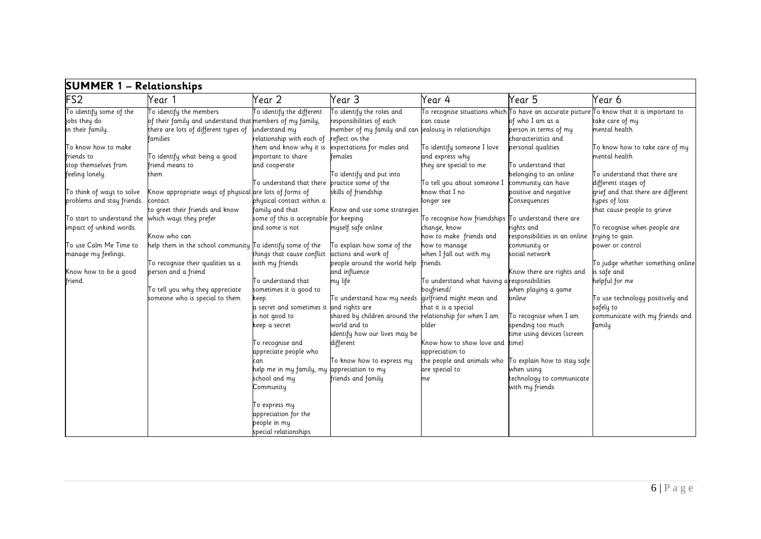| <b>SUMMER 1 - Relationships</b>                                                    |                                                                                                                                          |                                                                                                    |                                                                                                                                                                |                                                                                                                        |                                                                                           |                                                                                                                                                                                       |  |  |
|------------------------------------------------------------------------------------|------------------------------------------------------------------------------------------------------------------------------------------|----------------------------------------------------------------------------------------------------|----------------------------------------------------------------------------------------------------------------------------------------------------------------|------------------------------------------------------------------------------------------------------------------------|-------------------------------------------------------------------------------------------|---------------------------------------------------------------------------------------------------------------------------------------------------------------------------------------|--|--|
| FS <sub>2</sub>                                                                    | Year 1                                                                                                                                   | Year 2                                                                                             | Year 3                                                                                                                                                         | Year 4                                                                                                                 | Year 5                                                                                    | Year 6                                                                                                                                                                                |  |  |
| To identify some of the<br>jobs they do<br>in their family.<br>To know how to make | To identify the members<br>of their family and understand that members of my family,<br>there are lots of different types of<br>families | To identify the different<br>understand my<br>relationship with each of<br>them and know why it is | To identify the roles and<br>responsibilities of each<br>member of my family and can jealousy in relationships<br>reflect on the<br>expectations for males and | can cause<br>To identify someone I love                                                                                | of who I am as a<br>person in terms of my<br>characteristics and<br>personal qualities    | To recognise situations which $\mathsf T$ o have an accurate picture $\mathsf T$ o know that it is important to<br>take care of my<br>mental health<br>To know how to take care of my |  |  |
| friends to<br>stop themselves from<br>feeling lonely.                              | To identify what being a good<br>friend means to<br>them                                                                                 | important to share<br>and cooperate                                                                | females<br>To identify and put into                                                                                                                            | and express why<br>they are special to me                                                                              | To understand that<br>belonging to an online                                              | mental health<br>To understand that there are                                                                                                                                         |  |  |
| To think of ways to solve<br>problems and stay friends.                            | Know appropriate ways of physical are lots of forms of<br>contact<br>to greet their friends and know                                     | To understand that there practice some of the<br>physical contact within a<br>family and that      | skills of friendship<br>Know and use some strategies                                                                                                           | To tell you about someone I<br>know that I no<br>longer see                                                            | community can have<br>positive and negative<br>Consequences                               | different stages of<br>grief and that there are different<br>types of loss<br>that cause people to grieve                                                                             |  |  |
| To start to understand the which ways they prefer<br>impact of unkind words.       | Know who can                                                                                                                             | some of this is acceptable for keeping<br>and some is not                                          | myself safe online                                                                                                                                             | To recognise how friendships $\overline{\mathrm{I}}$ o understand there are<br>change, know<br>how to make friends and | rights and<br>responsibilities in an online                                               | To recognise when people are<br>trying to gain                                                                                                                                        |  |  |
| To use Calm Me Time to<br>manage my feelings.                                      | help them in the school community To identify some of the<br>To recognise their qualities as a                                           | things that cause conflict<br>with my friends                                                      | To explain how some of the<br>actions and work of<br>people around the world help                                                                              | how to manage<br>when I fall out with my<br>friends                                                                    | community or<br>social network                                                            | power or control<br>To judge whether something online                                                                                                                                 |  |  |
| Know how to be a good<br>friend.                                                   | person and a friend<br>To tell you why they appreciate<br>someone who is special to them                                                 | To understand that<br>sometimes it is good to<br>keep<br>a secret and sometimes it                 | and influence<br>my life<br>To understand how my needs girlfriend might mean and<br>and rights are                                                             | To understand what having aresponsibilities<br>boufriend/<br>that it is a special                                      | Know there are rights and<br>when playing a game<br>online                                | is safe and<br>helpful for me<br>To use technology positively and<br>safely to                                                                                                        |  |  |
|                                                                                    |                                                                                                                                          | is not good to<br>keep a secret<br>To recognise and<br>appreciate people who                       | shared by children around the relationship for when I am<br>world and to<br>identify how our lives may be<br>different                                         | older<br>Know how to show love and<br>appreciation to                                                                  | To recognise when I am<br>spending too much<br>time using devices (screen<br>time)        | communicate with my friends and<br>family                                                                                                                                             |  |  |
|                                                                                    |                                                                                                                                          | help me in my family, my appreciation to my<br>school and my<br>Community                          | To know how to express my<br>friends and family                                                                                                                | the people and animals who<br>are special to<br>me                                                                     | To explain how to stay safe<br>when using<br>technology to communicate<br>with my friends |                                                                                                                                                                                       |  |  |
|                                                                                    |                                                                                                                                          | To express my<br>appreciation for the<br>people in my<br>special relationships                     |                                                                                                                                                                |                                                                                                                        |                                                                                           |                                                                                                                                                                                       |  |  |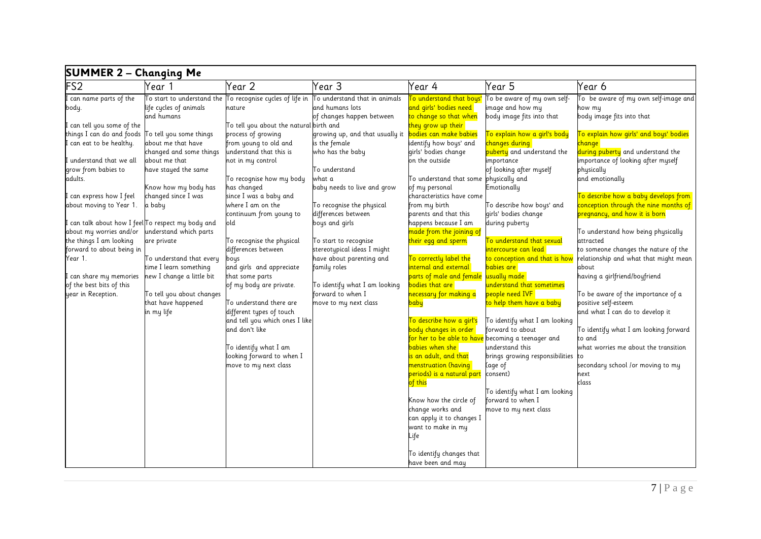| <b>SUMMER 2 – Changing Me</b>                                                                                                                                                                                                                                                                                                                                              |                                                                                                                                                                                                                                                             |                                                                                                                                                                                                                                                                                                                                                                                                                        |                                                                                                                                                                                                                                                                                                                                               |                                                                                                                                                                                                                                                                                                                                                                                                                                                                                                                  |                                                                                                                                                                                                                                                                                                                                                                                                               |                                                                                                                                                                                                                                                                                                                                                                                                                                                                        |  |  |
|----------------------------------------------------------------------------------------------------------------------------------------------------------------------------------------------------------------------------------------------------------------------------------------------------------------------------------------------------------------------------|-------------------------------------------------------------------------------------------------------------------------------------------------------------------------------------------------------------------------------------------------------------|------------------------------------------------------------------------------------------------------------------------------------------------------------------------------------------------------------------------------------------------------------------------------------------------------------------------------------------------------------------------------------------------------------------------|-----------------------------------------------------------------------------------------------------------------------------------------------------------------------------------------------------------------------------------------------------------------------------------------------------------------------------------------------|------------------------------------------------------------------------------------------------------------------------------------------------------------------------------------------------------------------------------------------------------------------------------------------------------------------------------------------------------------------------------------------------------------------------------------------------------------------------------------------------------------------|---------------------------------------------------------------------------------------------------------------------------------------------------------------------------------------------------------------------------------------------------------------------------------------------------------------------------------------------------------------------------------------------------------------|------------------------------------------------------------------------------------------------------------------------------------------------------------------------------------------------------------------------------------------------------------------------------------------------------------------------------------------------------------------------------------------------------------------------------------------------------------------------|--|--|
| FS <sub>2</sub>                                                                                                                                                                                                                                                                                                                                                            | Year 1                                                                                                                                                                                                                                                      | Year 2                                                                                                                                                                                                                                                                                                                                                                                                                 | Year 3                                                                                                                                                                                                                                                                                                                                        | Year 4                                                                                                                                                                                                                                                                                                                                                                                                                                                                                                           | Year 5                                                                                                                                                                                                                                                                                                                                                                                                        | Year 6                                                                                                                                                                                                                                                                                                                                                                                                                                                                 |  |  |
| can name parts of the<br>body.<br>can tell you some of the<br>things I can do and foods<br>I can eat to be healthy.<br>understand that we all<br>grow from babies to<br>adults.<br>can express how I feel<br>about moving to Year 1.<br>can talk about how I feel∏o respect my body and<br>about my worries and/or<br>the things I am looking<br>forward to about being in | life cycles of animals<br>and humans<br>To tell you some things<br>about me that have<br>changed and some things<br>about me that<br>have stayed the same<br>Know how my body has<br>changed since I was<br>a baby<br>understand which parts<br>are private | To start to understand the $\overline{\phantom{a}}$ To recognise cycles of life in<br>nature<br>To tell you about the natural birth and<br>process of growing<br>from young to old and<br>understand that this is<br>not in my control<br>To recognise how my body<br>has changed<br>since I was a baby and<br>where I am on the<br>continuum from young to<br>old<br>To recognise the physical<br>differences between | To understand that in animals<br>and humans lots<br>of changes happen between<br>growing up, and that usually it<br>is the female<br>who has the baby<br>To understand<br>what a<br>baby needs to live and grow<br>To recognise the physical<br>differences between<br>boys and girls<br>To start to recognise<br>stereotypical ideas I might | To understand that boys'<br>and girls' bodies need<br>to change so that when<br>they grow up their<br><mark>bodies can make babies</mark><br>identify how boys' and<br>girls' bodies change<br>on the outside<br>To understand that some physically and<br>of my personal<br>characteristics have come<br>from my birth<br>parents and that this<br>happens because I am<br>made from the joining of<br>their egg and sperm                                                                                      | To be aware of my own self-<br>image and how my<br>body image fits into that<br>To explain how a girl's body<br><mark>changes during</mark><br><mark>puberty</mark> and understand the<br>importance<br>of looking after myself<br>Emotionally<br>To describe how boys' and<br>girls' bodies change<br>during puberty<br>To understand that sexual<br>ntercourse can lead                                     | To be aware of my own self-image and<br>how my<br>body image fits into that<br>To explain how girls' and boys' bodies<br><mark>change-</mark><br>during puberty and understand the<br>importance of looking after myself<br>physically<br>and emotionally<br>To describe how a baby develops from<br>conception through the nine months of<br>pregnancy, and how it is born<br>To understand how being physically<br>attracted<br>to someone changes the nature of the |  |  |
| Year 1.<br>can share my memories :<br>of the best bits of this<br>year in Reception.                                                                                                                                                                                                                                                                                       | To understand that every<br>time I learn something<br>new I change a little bit<br>To tell you about changes<br>that have happened<br>in my life                                                                                                            | boys<br>and girls and appreciate<br>that some parts<br>of my body are private.<br>To understand there are<br>different types of touch<br>and tell you which ones I like<br>and don't like<br>To identify what I am<br>looking forward to when I<br>move to my next class                                                                                                                                               | have about parenting and<br>family roles<br>To identify what I am looking<br>forward to when I<br>move to my next class                                                                                                                                                                                                                       | To correctly label the<br>internal and external<br>parts of male and female usually made<br>bodies that are<br><mark>necessary for making a</mark><br><mark>baby</mark><br>To describe how a girl's<br>body changes in order<br>babies when she<br><mark>is an adult, and that</mark><br>menstruation (having<br>periods) is a natural part<br>of this<br>Know how the circle of<br>change works and<br>can apply it to changes I<br>want to make in my<br>Life<br>To identify changes that<br>have been and may | to conception and that is how<br>babies are l<br>understand that sometimes<br>people need IVF<br><mark>to help them have a baby</mark><br>To identify what I am looking<br>forward to about<br>for her to be able to have becoming a teenager and<br>understand this<br>brings growing responsibilities<br>(age of<br>consent)<br>To identify what I am looking<br>forward to when I<br>move to my next class | relationship and what that might mean<br>about<br>having a girlfriend/boyfriend<br>To be aware of the importance of a<br>positive self-esteem<br>and what I can do to develop it<br>To identify what I am looking forward<br>to and<br>what worries me about the transition<br>secondary school /or moving to my<br>next<br>class                                                                                                                                      |  |  |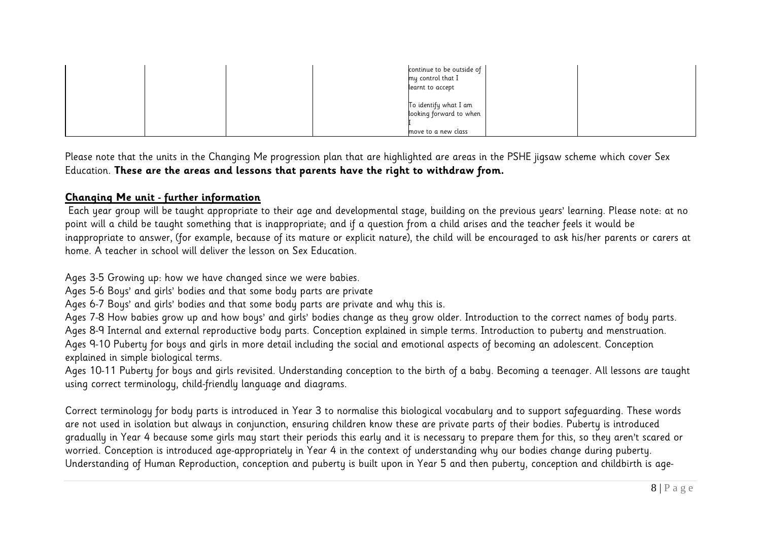|  |  | continue to be outside of<br>my control that I<br>learnt to accept      |  |
|--|--|-------------------------------------------------------------------------|--|
|  |  | To identify what I am<br>looking forward to when<br>move to a new class |  |

Please note that the units in the Changing Me progression plan that are highlighted are areas in the PSHE jigsaw scheme which cover Sex Education. **These are the areas and lessons that parents have the right to withdraw from.**

#### **Changing Me unit - further information**

Each year group will be taught appropriate to their age and developmental stage, building on the previous years' learning. Please note: at no point will a child be taught something that is inappropriate; and if a question from a child arises and the teacher feels it would be inappropriate to answer, (for example, because of its mature or explicit nature), the child will be encouraged to ask his/her parents or carers at home. A teacher in school will deliver the lesson on Sex Education.

Ages 3-5 Growing up: how we have changed since we were babies.

Ages 5-6 Boys' and girls' bodies and that some body parts are private

Ages 6-7 Boys' and girls' bodies and that some body parts are private and why this is.

Ages 7-8 How babies grow up and how boys' and girls' bodies change as they grow older. Introduction to the correct names of body parts. Ages 8-9 Internal and external reproductive body parts. Conception explained in simple terms. Introduction to puberty and menstruation.

Ages 9-10 Puberty for boys and girls in more detail including the social and emotional aspects of becoming an adolescent. Conception explained in simple biological terms.

Ages 10-11 Puberty for boys and girls revisited. Understanding conception to the birth of a baby. Becoming a teenager. All lessons are taught using correct terminology, child-friendly language and diagrams.

Correct terminology for body parts is introduced in Year 3 to normalise this biological vocabulary and to support safeguarding. These words are not used in isolation but always in conjunction, ensuring children know these are private parts of their bodies. Puberty is introduced gradually in Year 4 because some girls may start their periods this early and it is necessary to prepare them for this, so they aren't scared or worried. Conception is introduced age-appropriately in Year 4 in the context of understanding why our bodies change during puberty. Understanding of Human Reproduction, conception and puberty is built upon in Year 5 and then puberty, conception and childbirth is age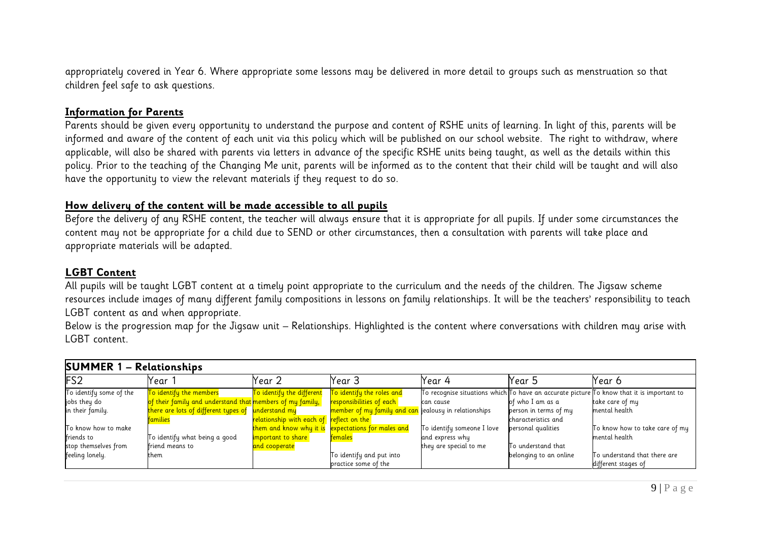appropriately covered in Year 6. Where appropriate some lessons may be delivered in more detail to groups such as menstruation so that children feel safe to ask questions.

#### **Information for Parents**

Parents should be given every opportunity to understand the purpose and content of RSHE units of learning. In light of this, parents will be informed and aware of the content of each unit via this policy which will be published on our school website. The right to withdraw, where applicable, will also be shared with parents via letters in advance of the specific RSHE units being taught, as well as the details within this policy. Prior to the teaching of the Changing Me unit, parents will be informed as to the content that their child will be taught and will also have the opportunity to view the relevant materials if they request to do so.

#### **How delivery of the content will be made accessible to all pupils**

Before the delivery of any RSHE content, the teacher will always ensure that it is appropriate for all pupils. If under some circumstances the content may not be appropriate for a child due to SEND or other circumstances, then a consultation with parents will take place and appropriate materials will be adapted.

#### **LGBT Content**

All pupils will be taught LGBT content at a timely point appropriate to the curriculum and the needs of the children. The Jigsaw scheme resources include images of many different family compositions in lessons on family relationships. It will be the teachers' responsibility to teach LGBT content as and when appropriate.

Below is the progression map for the Jigsaw unit – Relationships. Highlighted is the content where conversations with children may arise with LGBT content.

| <b>SUMMER 1 - Relationships</b>               |                                                                 |                                          |                                                       |                            |                        |                                                                                                         |  |  |
|-----------------------------------------------|-----------------------------------------------------------------|------------------------------------------|-------------------------------------------------------|----------------------------|------------------------|---------------------------------------------------------------------------------------------------------|--|--|
| FS <sub>2</sub>                               | Year                                                            | Year 2                                   | Year 3                                                | Year 4                     | Year 5                 | Year 6                                                                                                  |  |  |
| $\overline{\mathrm{To}}$ identify some of the | To identify the members                                         | <mark>To identify the different</mark>   | <mark>To identify the roles and</mark>                |                            |                        | To recognise situations which $\sf T$ o have an accurate picture $\sf T$ o know that it is important to |  |  |
| jobs they do                                  | of their family and understand that members of my family,       |                                          | responsibilities of each <b>i</b>                     | can cause                  | of who I am as a       | take care of my                                                                                         |  |  |
| in their family.                              | <mark>there are lots of different types of understand my</mark> |                                          | member of my family and can jealousy in relationships |                            | person in terms of my  | mental health                                                                                           |  |  |
|                                               | <u>families</u>                                                 | relationship with each of reflect on the |                                                       |                            | characteristics and    |                                                                                                         |  |  |
| To know how to make                           |                                                                 |                                          | them and know why it is expectations for males and    | To identify someone I love | personal qualities     | To know how to take care of my                                                                          |  |  |
| friends to                                    | To identify what being a good                                   | important to share                       | <u>females</u>                                        | and express why            |                        | mental health                                                                                           |  |  |
| stop themselves from                          | friend means to                                                 | <mark>and cooperate</mark>               |                                                       | they are special to me     | To understand that     |                                                                                                         |  |  |
| feeling lonely.                               | them                                                            |                                          | To identify and put into                              |                            | belonging to an online | To understand that there are                                                                            |  |  |
|                                               |                                                                 |                                          | practice some of the                                  |                            |                        | different stages of                                                                                     |  |  |